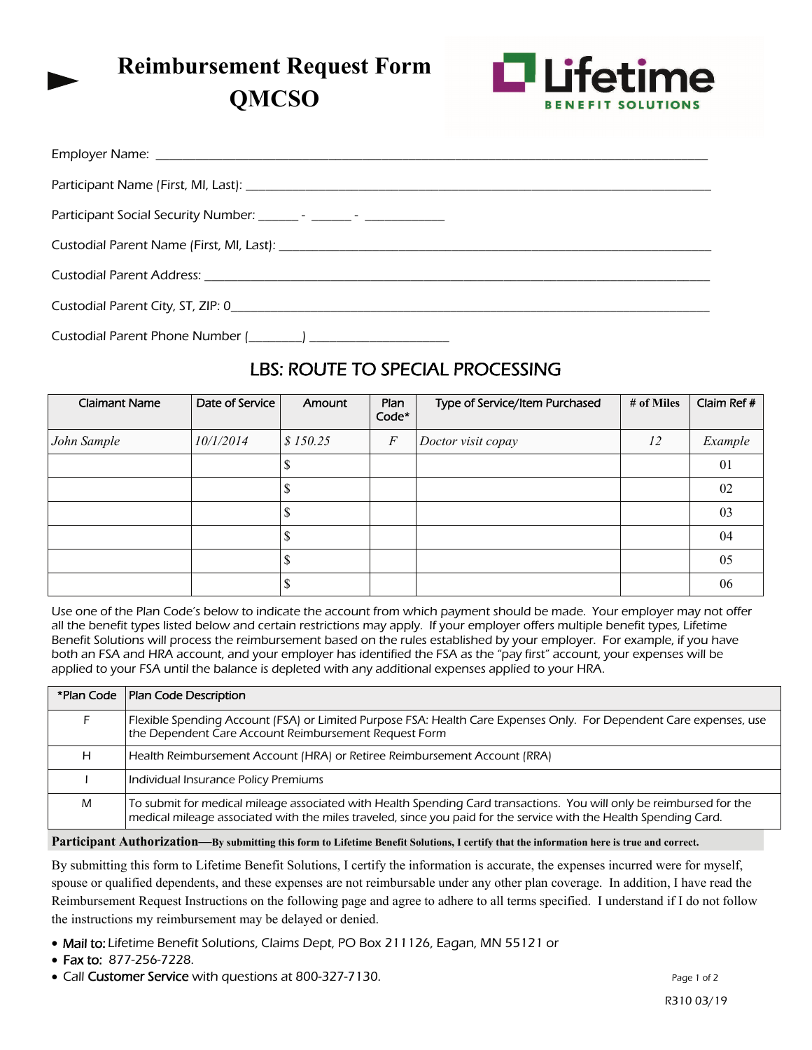# **Reimbursement Request Form**

**QMCSO** 



| Custodial Parent City, ST, ZIP: 0 |
|-----------------------------------|
|                                   |

# LBS: ROUTE TO SPECIAL PROCESSING

| <b>Claimant Name</b> | Date of Service | Amount   | Plan<br>Code* | Type of Service/Item Purchased | # of Miles | Claim Ref # |
|----------------------|-----------------|----------|---------------|--------------------------------|------------|-------------|
| John Sample          | 10/1/2014       | \$150.25 | $\sqrt{F}$    | Doctor visit copay             | 12         | Example     |
|                      |                 |          |               |                                |            | 01          |
|                      |                 |          |               |                                |            | 02          |
|                      |                 |          |               |                                |            | 03          |
|                      |                 |          |               |                                |            | 04          |
|                      |                 |          |               |                                |            | 05          |
|                      |                 |          |               |                                |            | 06          |

Use one of the Plan Code's below to indicate the account from which payment should be made. Your employer may not offer all the benefit types listed below and certain restrictions may apply. If your employer offers multiple benefit types, Lifetime Benefit Solutions will process the reimbursement based on the rules established by your employer. For example, if you have both an FSA and HRA account, and your employer has identified the FSA as the "pay first" account, your expenses will be applied to your FSA until the balance is depleted with any additional expenses applied to your HRA.

|   | *Plan Code   Plan Code Description                                                                                                                                                                                                        |
|---|-------------------------------------------------------------------------------------------------------------------------------------------------------------------------------------------------------------------------------------------|
|   | Flexible Spending Account (FSA) or Limited Purpose FSA: Health Care Expenses Only. For Dependent Care expenses, use<br>the Dependent Care Account Reimbursement Request Form                                                              |
| н | Health Reimbursement Account (HRA) or Retiree Reimbursement Account (RRA)                                                                                                                                                                 |
|   | Individual Insurance Policy Premiums                                                                                                                                                                                                      |
| M | To submit for medical mileage associated with Health Spending Card transactions. You will only be reimbursed for the<br>medical mileage associated with the miles traveled, since you paid for the service with the Health Spending Card. |

#### **Participant Authorization—By submitting this form to Lifetime Benefit Solutions, I certify that the information here is true and correct.**

By submitting this form to Lifetime Benefit Solutions, I certify the information is accurate, the expenses incurred were for myself, spouse or qualified dependents, and these expenses are not reimbursable under any other plan coverage. In addition, I have read the Reimbursement Request Instructions on the following page and agree to adhere to all terms specified. I understand if I do not follow the instructions my reimbursement may be delayed or denied.

- Mail to: Lifetime Benefit Solutions, Claims Dept, PO Box 211126, Eagan, MN 55121 or
- Fax to: 877-256-7228.
- Call **Customer Service** with questions at 800-327-7130.